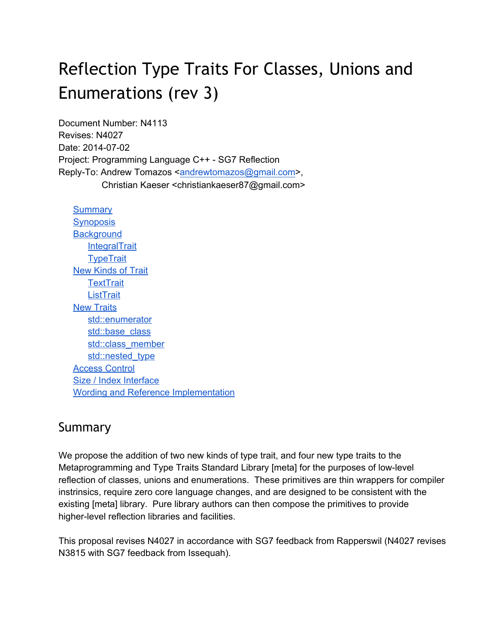# Reflection Type Traits For Classes, Unions and Enumerations (rev 3)

Document Number: N4113 Revises: N4027 Date: 2014-07-02 Project: Programming Language C++ - SG7 Reflection Reply-To: Andrew Tomazos [<andrewtomazos@gmail.com>](mailto:andrewtomazos@gmail.com), Christian Kaeser <christiankaeser87@gmail.com>

**Summary Synoposis Background IntegralTrait TypeTrait** New Kinds of Trait **TextTrait ListTrait** New Traits std::enumerator std::base\_class std::class\_member std::nested\_type Access Control Size / Index Interface Wording and Reference Implementation

## Summary

We propose the addition of two new kinds of type trait, and four new type traits to the Metaprogramming and Type Traits Standard Library [meta] for the purposes of lowlevel reflection of classes, unions and enumerations. These primitives are thin wrappers for compiler instrinsics, require zero core language changes, and are designed to be consistent with the existing [meta] library. Pure library authors can then compose the primitives to provide higher-level reflection libraries and facilities.

This proposal revises N4027 in accordance with SG7 feedback from Rapperswil (N4027 revises N3815 with SG7 feedback from Issequah).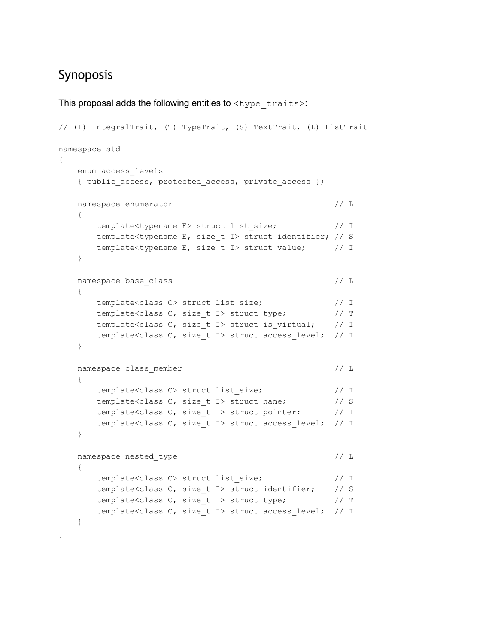## Synoposis

```
This proposal adds the following entities to lttype traits>:
// (I) IntegralTrait, (T) TypeTrait, (S) TextTrait, (L) ListTrait
namespace std
{
   enum access_levels
   { public access, protected access, private access };
   namespace enumerator // L{
      template<typename E> struct list size; // Itemplate<typename E, size_t I> struct identifier; // S
      template<typename E, size t I> struct value; // I
   }
   namespace base class // L{
      template<class C> struct list size; // Itemplate<class C, size_t I> struct type; // T
      template<class C, size t I> struct is virtual; // I
      template<class C, size t I> struct access level; // I
   }
   namespace class member // L
   {
      template<class C> struct list size; // Itemplate<class C, size t I> struct name; // S
      template<class C, size t I> struct pointer; // I
      template<class C, size_t I> struct access_level;  // I
   }
   namespace nested type // L{
      template<class C> struct list_size;               // I
      template<class C, size_t I> struct identifier;    // S
      template<class C, size t I> struct type; // Ttemplate<class C, size_t I> struct access_level;  // I
   }
}
```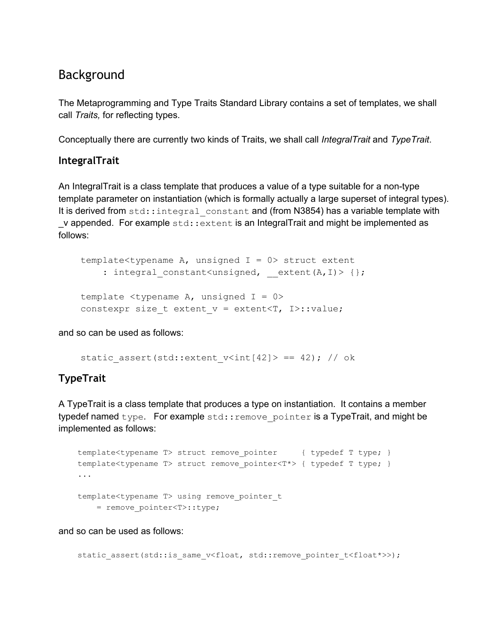### Background

The Metaprogramming and Type Traits Standard Library contains a set of templates, we shall call *Traits,* for reflecting types.

Conceptually there are currently two kinds of Traits, we shall call *IntegralTrait* and *TypeTrait*.

#### **IntegralTrait**

An IntegralTrait is a class template that produces a value of a type suitable for a non-type template parameter on instantiation (which is formally actually a large superset of integral types). It is derived from std::integral\_constant and (from N3854) has a variable template with  $\mu$  appended. For example  $\text{std}$ : extent is an IntegralTrait and might be implemented as follows:

template<typename A, unsigned  $I = 0$  struct extent : integral constant<unsigned, extent(A,I)> {}; template  $lty$ pename A, unsigned I = 0> constexpr size t extent  $v =$  extent $\tau$ , I>::value;

and so can be used as follows:

```
static assert(std::extent v<int[42]> == 42); // ok
```
#### **TypeTrait**

A TypeTrait is a class template that produces a type on instantiation. It contains a member typedef named type. For example  $std::remove$  pointer is a TypeTrait, and might be implemented as follows:

```
template<typename T> struct remove pointer { typedef T type; }
template<typename T> struct remove pointer<T*> { typedef T type; }
...
template<typename T> using remove pointer t
   = remove pointer<T>::type;
```
and so can be used as follows:

```
static assert(std::is same v<float, std::remove pointer t<float*>>);
```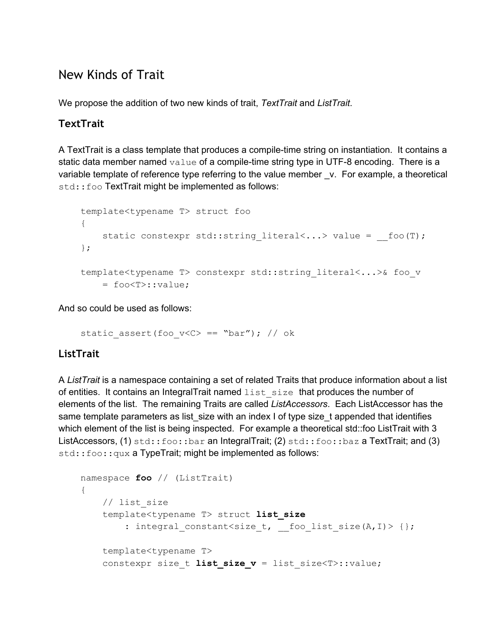## New Kinds of Trait

We propose the addition of two new kinds of trait, *TextTrait* and *ListTrait*.

#### **TextTrait**

A Text Trait is a class template that produces a compile-time string on instantiation. It contains a static data member named  $value$  of a compile-time string type in UTF-8 encoding. There is a variable template of reference type referring to the value member \_v. For example, a theoretical std::foo TextTrait might be implemented as follows:

```
template<typename T> struct foo
{
    static constexpr std::string literal<...> value = __foo(T);
};
template<typename T> constexpr std::string_literal<...>& foo_v
   = foo<T>::value;
```
And so could be used as follows:

```
static assert(foo v<C> == "bar"); // ok
```
#### **ListTrait**

A *ListTrait* is a namespace containing a set of related Traits that produce information about a list of entities. It contains an IntegralTrait named list size that produces the number of elements of the list. The remaining Traits are called *ListAccessors*. Each ListAccessor has the same template parameters as list size with an index I of type size t appended that identifies which element of the list is being inspected. For example a theoretical std::foo ListTrait with 3 ListAccessors, (1) std::foo::bar an IntegralTrait; (2) std::foo::baz a TextTrait; and (3) std::foo::qux a TypeTrait; might be implemented as follows:

```
namespace foo // (ListTrait)
{
   // list_size
    template<typename T> struct list_size
        : integral_constant<size_t, __foo_list_size(A,I)> {};
    template<typename T>
    constexpr size t list size v = list size<T>::value;
```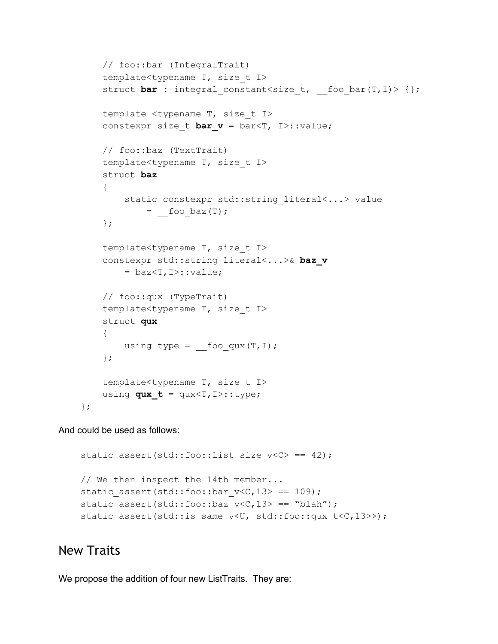```
// foo::bar (IntegralTrait)
template<typename T, size_t I>
struct bar : integral constant<size t, foo bar(T,I)> {};
template <typename T, size_t I>
constexpr size t bar v = bar\tau, I>::value;
// foo::baz (TextTrait)
template<typename T, size_t I>
struct baz
{
    static constexpr std::string literal<...> value
        = foo_baz(T);};
template<typename T, size_t I>
constexpr std::string literal<...>& baz v
    = baz<T,I>::value;
// foo::qux (TypeTrait)
template<typename T, size t I>
struct qux
{
    using type = fooqux(T,I);};
template<typename T, size_t I>
using qux t = qux < T, I >: :type;
```
And could be used as follows:

```
static assert(std::foo::list size v < C == 42);
// We then inspect the 14th member...
static assert(std::foo::bar v<C,13> == 109);
static assert(std::foo::baz v < c,13> == "blah");
static assert(std::is same v<U, std::foo::qux t<C,13>>);
```
### New Traits

};

We propose the addition of four new ListTraits. They are: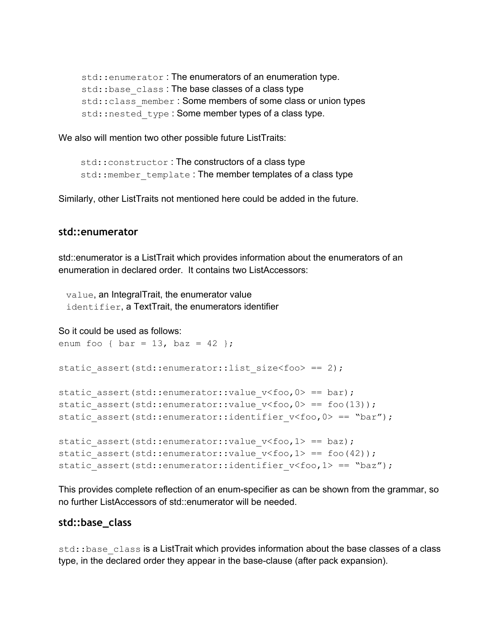```
std:: enumerator: The enumerators of an enumeration type.
std::base_class: The base classes of a class type
std:: class_member: Some members of some class or union types
std::nested type: Some member types of a class type.
```
We also will mention two other possible future ListTraits:

```
std:: constructor: The constructors of a class type
std:: member template: The member templates of a class type
```
Similarly, other ListTraits not mentioned here could be added in the future.

#### **std::enumerator**

std::enumerator is a ListTrait which provides information about the enumerators of an enumeration in declared order. It contains two ListAccessors:

value, an IntegralTrait, the enumerator value identifier, a TextTrait, the enumerators identifier

So it could be used as follows:

```
enum foo { bar = 13, baz = 42 };
static_assert(std::enumerator::list size<foo> == 2);
static assert(std::enumerator::value v<foo,0> == bar);
static assert(std::enumerator::value v<foo,0> == foo(13));
static assert(std::enumerator::identifier v<foo,0> == "bar");
static_assert(std::enumerator::value v<foo,1> == baz);
static assert(std::enumerator::value v<foo,1> == foo(42));
static assert(std::enumerator::identifier v<foo,1> == "baz");
```
This provides complete reflection of an enumspecifier as can be shown from the grammar, so no further ListAccessors of std::enumerator will be needed.

#### **std::base\_class**

std::base\_class is a ListTrait which provides information about the base classes of a class type, in the declared order they appear in the base-clause (after pack expansion).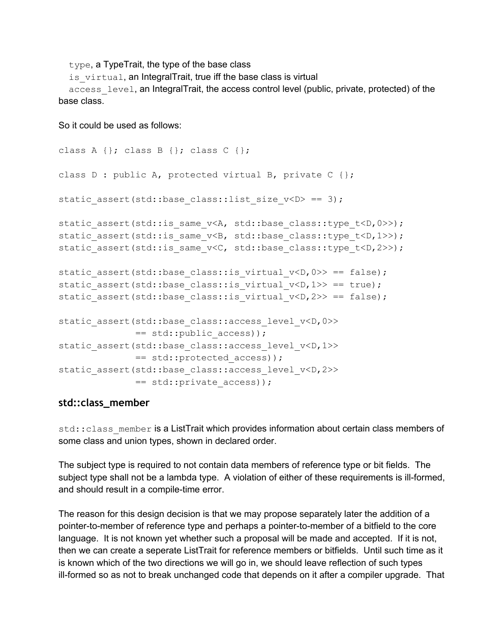type, a TypeTrait, the type of the base class

is virtual, an IntegralTrait, true iff the base class is virtual

access level, an IntegralTrait, the access control level (public, private, protected) of the base class.

So it could be used as follows:

```
class A \{\}; class B \{\}; class C \{\};
class D : public A, protected virtual B, private C {};
static assert(std::base class::list size v<D> == 3);
static assert(std::is same v<A, std::base class::type t<D,0>>);
static assert(std::is same v<B, std::base class::type t<D,1>>);
static assert(std::is same v<C, std::base class::type t<D,2>>);
static assert(std::base class::is virtual v<D,0>> == false);
static assert(std::base class::is virtual v(D,1>> == true);
static assert(std::base class::is virtual v<D,2>> == false);
static_assert(std::base class::access level v<D,0>>
              == std::public_access));
static assert(std::base class::access level v<D,1>>
              == std::protected_access));
static assert(std::base class::access level v<D,2>>
              == std::private access));
```
#### **std::class\_member**

std:: class\_member is a ListTrait which provides information about certain class members of some class and union types, shown in declared order.

The subject type is required to not contain data members of reference type or bit fields. The subject type shall not be a lambda type. A violation of either of these requirements is ill-formed, and should result in a compile-time error.

The reason for this design decision is that we may propose separately later the addition of a pointer-to-member of reference type and perhaps a pointer-to-member of a bitfield to the core language. It is not known yet whether such a proposal will be made and accepted. If it is not, then we can create a seperate ListTrait for reference members or bitfields. Until such time as it is known which of the two directions we will go in, we should leave reflection of such types ill-formed so as not to break unchanged code that depends on it after a compiler upgrade. That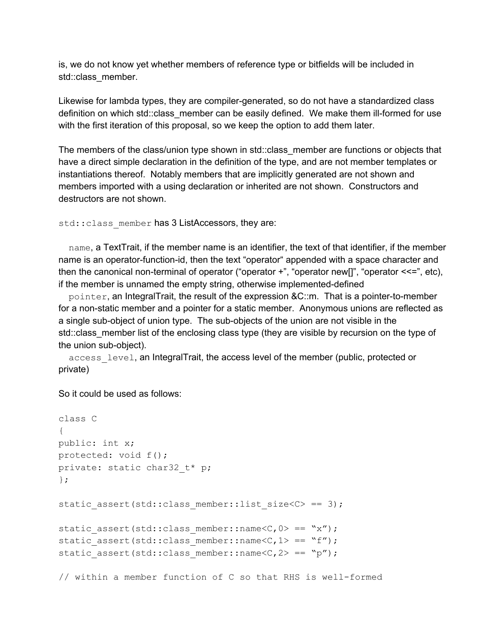is, we do not know yet whether members of reference type or bitfields will be included in std::class\_member.

Likewise for lambda types, they are compiler-generated, so do not have a standardized class definition on which std::class member can be easily defined. We make them ill-formed for use with the first iteration of this proposal, so we keep the option to add them later.

The members of the class/union type shown in std::class member are functions or objects that have a direct simple declaration in the definition of the type, and are not member templates or instantiations thereof. Notably members that are implicitly generated are not shown and members imported with a using declaration or inherited are not shown. Constructors and destructors are not shown.

```
std:: class_member has 3 ListAccessors, they are:
```
name, a TextTrait, if the member name is an identifier, the text of that identifier, if the member name is an operator-function-id, then the text "operator" appended with a space character and then the canonical non-terminal of operator ("operator  $+$ ", "operator new[]", "operator  $\leq$ =", etc), if the member is unnamed the empty string, otherwise implemented-defined

 $pointer$ , an IntegralTrait, the result of the expression  $\&C::m$ . That is a pointer-to-member for a non-static member and a pointer for a static member. Anonymous unions are reflected as a single sub-object of union type. The sub-objects of the union are not visible in the std::class\_member list of the enclosing class type (they are visible by recursion on the type of the union sub-object).

access level, an IntegralTrait, the access level of the member (public, protected or private)

So it could be used as follows:

```
class C
{
public: int x;
protected: void f();
private: static char32 t* p;
};
static assert(std::class member::list size<C> == 3);
static assert(std::class member::name<C,0> == "x");
static assert(std::class member::name<C,1> == "f");
static assert(std::class member::name<C,2> == "p");
```
// within a member function of C so that RHS is well-formed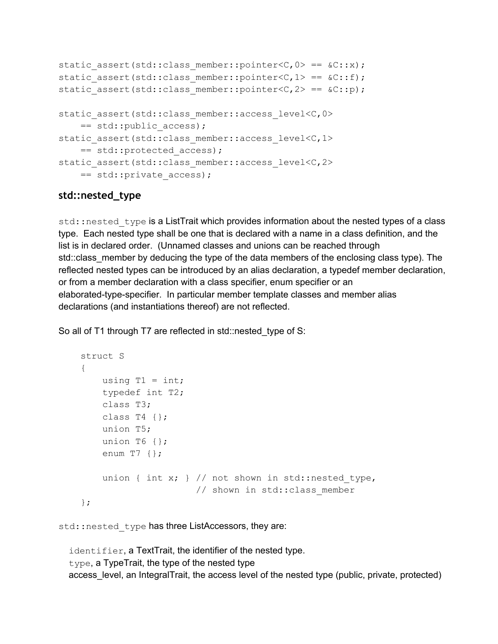```
static assert(std::class member::pointer<C,0> == &c::x);
static assert(std::class member::pointer<C,1> == &c::f);
static assert(std::class member::pointer<C,2> == &c::p);
static assert(std::class member::access level<C,0>
    == std:: public access);
static assert(std::class member::access level<C,1>
    == std::protected_access);
static assert(std::class member::access level<C,2>
    == std::private access);
```
#### **std::nested\_type**

std::nested type is a ListTrait which provides information about the nested types of a class type. Each nested type shall be one that is declared with a name in a class definition, and the list is in declared order. (Unnamed classes and unions can be reached through std::class\_member by deducing the type of the data members of the enclosing class type). The reflected nested types can be introduced by an alias declaration, a typedef member declaration, or from a member declaration with a class specifier, enum specifier or an elaborated-type-specifier. In particular member template classes and member alias declarations (and instantiations thereof) are not reflected.

So all of T1 through T7 are reflected in std::nested\_type of S:

```
struct S
{
    using T1 = int;typedef int T2;
    class T3;
    class T4 \{ \};
    union T5;
    union T6 {};
    enum T7 \{ \};
    union { int x; } // not shown in std::nested type,
                     // shown in std:: class member
};
```
std::nested\_type has three ListAccessors, they are:

identifier, a TextTrait, the identifier of the nested type. type, a TypeTrait, the type of the nested type access\_level, an IntegralTrait, the access level of the nested type (public, private, protected)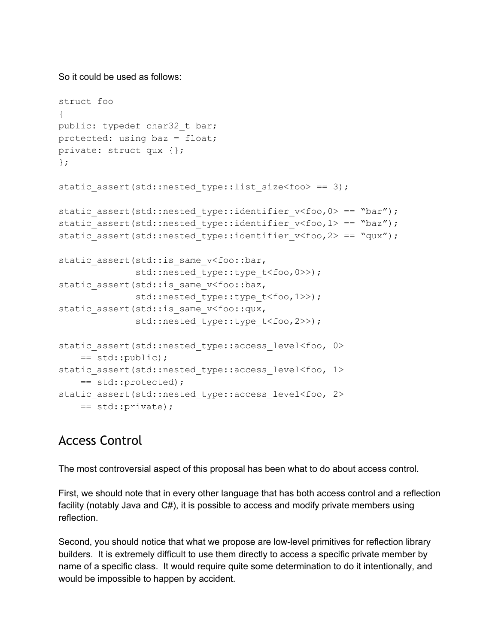So it could be used as follows:

```
struct foo
{
public: typedef char32 t bar;
protected: using baz = float;
private: struct qux {};
};
static assert(std::nested type::list size<foo> == 3);
static assert(std::nested type::identifier v<foo,0> == "bar");
static assert(std::nested type::identifier v<foo,1> == "baz");
static assert(std::nested type::identifier v<foo,2> == "qux");
static assert(std::is same v<foo::bar,
              std::nested type::type t<foo, 0>>);
static assert(std::is same v<foo::baz,
              std::nested type::type t<foo,1>>);
static assert(std::is same v<foo::qux,
              std::nested type::type t<foo, 2>>);
static assert(std::nested type::access level<foo, 0>
   == std::public);
static assert(std::nested type::access level<foo, 1>
    == std::protected);
static assert(std::nested type::access level<foo, 2>
   == std::private);
```
# Access Control

The most controversial aspect of this proposal has been what to do about access control.

First, we should note that in every other language that has both access control and a reflection facility (notably Java and C#), it is possible to access and modify private members using reflection.

Second, you should notice that what we propose are low-level primitives for reflection library builders. It is extremely difficult to use them directly to access a specific private member by name of a specific class. It would require quite some determination to do it intentionally, and would be impossible to happen by accident.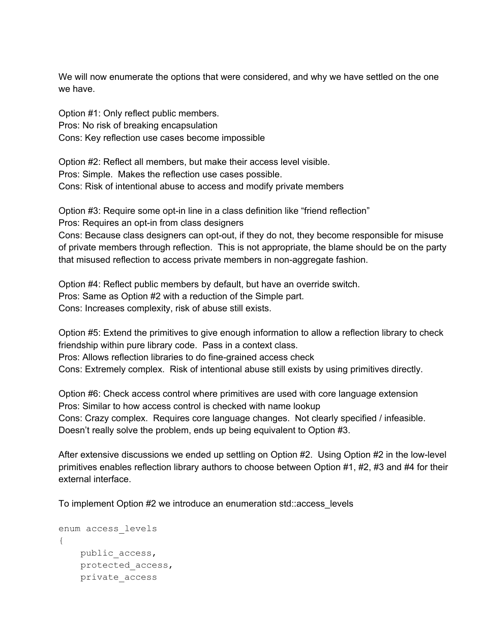We will now enumerate the options that were considered, and why we have settled on the one we have.

Option #1: Only reflect public members. Pros: No risk of breaking encapsulation Cons: Key reflection use cases become impossible

Option #2: Reflect all members, but make their access level visible. Pros: Simple. Makes the reflection use cases possible. Cons: Risk of intentional abuse to access and modify private members

Option #3: Require some opt-in line in a class definition like "friend reflection" Pros: Requires an opt-in from class designers

Cons: Because class designers can opt-out, if they do not, they become responsible for misuse of private members through reflection. This is not appropriate, the blame should be on the party that misused reflection to access private members in nonaggregate fashion.

Option #4: Reflect public members by default, but have an override switch. Pros: Same as Option #2 with a reduction of the Simple part. Cons: Increases complexity, risk of abuse still exists.

Option #5: Extend the primitives to give enough information to allow a reflection library to check friendship within pure library code. Pass in a context class. Pros: Allows reflection libraries to do fine-grained access check

Cons: Extremely complex. Risk of intentional abuse still exists by using primitives directly.

Option #6: Check access control where primitives are used with core language extension Pros: Similar to how access control is checked with name lookup Cons: Crazy complex. Requires core language changes. Not clearly specified / infeasible. Doesn't really solve the problem, ends up being equivalent to Option #3.

After extensive discussions we ended up settling on Option #2. Using Option #2 in the low-level primitives enables reflection library authors to choose between Option #1, #2, #3 and #4 for their external interface.

To implement Option #2 we introduce an enumeration std::access\_levels

```
enum access_levels
{
    public_access,
    protected_access,
    private_access
```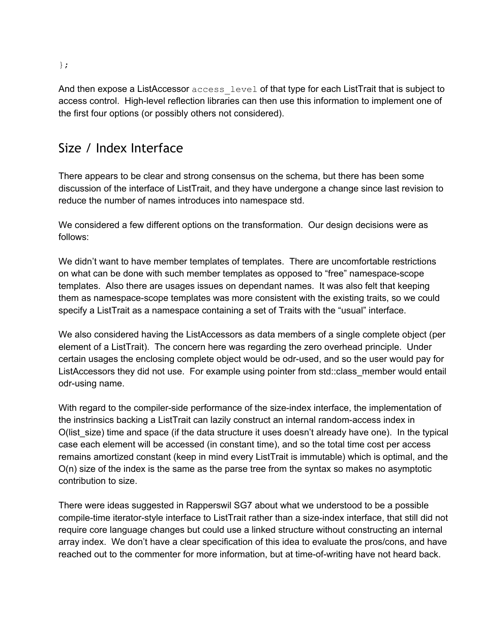And then expose a ListAccessor access level of that type for each ListTrait that is subject to access control. High-level reflection libraries can then use this information to implement one of the first four options (or possibly others not considered).

# Size / Index Interface

There appears to be clear and strong consensus on the schema, but there has been some discussion of the interface of ListTrait, and they have undergone a change since last revision to reduce the number of names introduces into namespace std.

We considered a few different options on the transformation. Our design decisions were as follows:

We didn't want to have member templates of templates. There are uncomfortable restrictions on what can be done with such member templates as opposed to "free" namespace-scope templates. Also there are usages issues on dependant names. It was also felt that keeping them as namespace-scope templates was more consistent with the existing traits, so we could specify a ListTrait as a namespace containing a set of Traits with the "usual" interface.

We also considered having the ListAccessors as data members of a single complete object (per element of a ListTrait). The concern here was regarding the zero overhead principle. Under certain usages the enclosing complete object would be odr-used, and so the user would pay for ListAccessors they did not use. For example using pointer from std::class\_member would entail odr-using name.

With regard to the compiler-side performance of the size-index interface, the implementation of the instrinsics backing a ListTrait can lazily construct an internal random-access index in O(list\_size) time and space (if the data structure it uses doesn't already have one). In the typical case each element will be accessed (in constant time), and so the total time cost per access remains amortized constant (keep in mind every ListTrait is immutable) which is optimal, and the O(n) size of the index is the same as the parse tree from the syntax so makes no asymptotic contribution to size.

There were ideas suggested in Rapperswil SG7 about what we understood to be a possible compile-time iterator-style interface to ListTrait rather than a size-index interface, that still did not require core language changes but could use a linked structure without constructing an internal array index. We don't have a clear specification of this idea to evaluate the pros/cons, and have reached out to the commenter for more information, but at time-of-writing have not heard back.

};